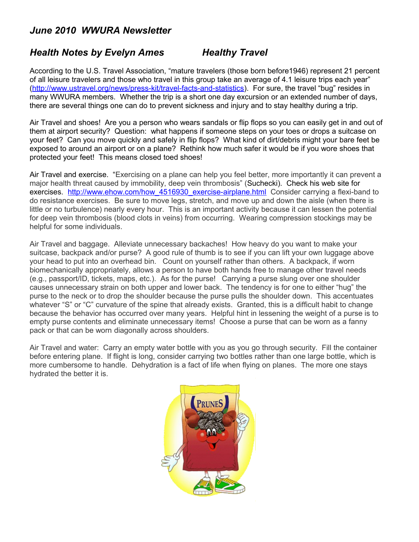## *June 2010 WWURA Newsletter*

## **Health Notes by Evelyn Ames Healthy Travel**

According to the U.S. Travel Association, "mature travelers (those born before1946) represent 21 percent of all leisure travelers and those who travel in this group take an average of 4.1 leisure trips each year" [\(http://www.ustravel.org/news/press-kit/travel-facts-and-statistics\)](http://www.ustravel.org/news/press-kit/travel-facts-and-statistics). For sure, the travel "bug" resides in many WWURA members. Whether the trip is a short one day excursion or an extended number of days, there are several things one can do to prevent sickness and injury and to stay healthy during a trip.

Air Travel and shoes! Are you a person who wears sandals or flip flops so you can easily get in and out of them at airport security? Question: what happens if someone steps on your toes or drops a suitcase on your feet? Can you move quickly and safely in flip flops? What kind of dirt/debris might your bare feet be exposed to around an airport or on a plane? Rethink how much safer it would be if you wore shoes that protected your feet! This means closed toed shoes!

Air Travel and exercise. "Exercising on a plane can help you feel better, more importantly it can prevent a major health threat caused by immobility, deep vein thrombosis" [\(Suchecki\)](http://www.ehow.com/members/checkpix.html). Check his web site for exercises. http://www.ehow.com/how 4516930 exercise-airplane.html Consider carrying a flexi-band to do resistance exercises. Be sure to move legs, stretch, and move up and down the aisle (when there is little or no turbulence) nearly every hour. This is an important activity because it can lessen the potential for deep vein thrombosis (blood clots in veins) from occurring. Wearing compression stockings may be helpful for some individuals.

Air Travel and baggage. Alleviate unnecessary backaches! How heavy do you want to make your suitcase, backpack and/or purse? A good rule of thumb is to see if you can lift your own luggage above your head to put into an overhead bin. Count on yourself rather than others. A backpack, if worn biomechanically appropriately, allows a person to have both hands free to manage other travel needs (e.g., passport/ID, tickets, maps, etc.). As for the purse! Carrying a purse slung over one shoulder causes unnecessary strain on both upper and lower back. The tendency is for one to either "hug" the purse to the neck or to drop the shoulder because the purse pulls the shoulder down. This accentuates whatever "S" or "C" curvature of the spine that already exists. Granted, this is a difficult habit to change because the behavior has occurred over many years. Helpful hint in lessening the weight of a purse is to empty purse contents and eliminate unnecessary items! Choose a purse that can be worn as a fanny pack or that can be worn diagonally across shoulders.

Air Travel and water: Carry an empty water bottle with you as you go through security. Fill the container before entering plane. If flight is long, consider carrying two bottles rather than one large bottle, which is more cumbersome to handle. Dehydration is a fact of life when flying on planes. The more one stays hydrated the better it is.